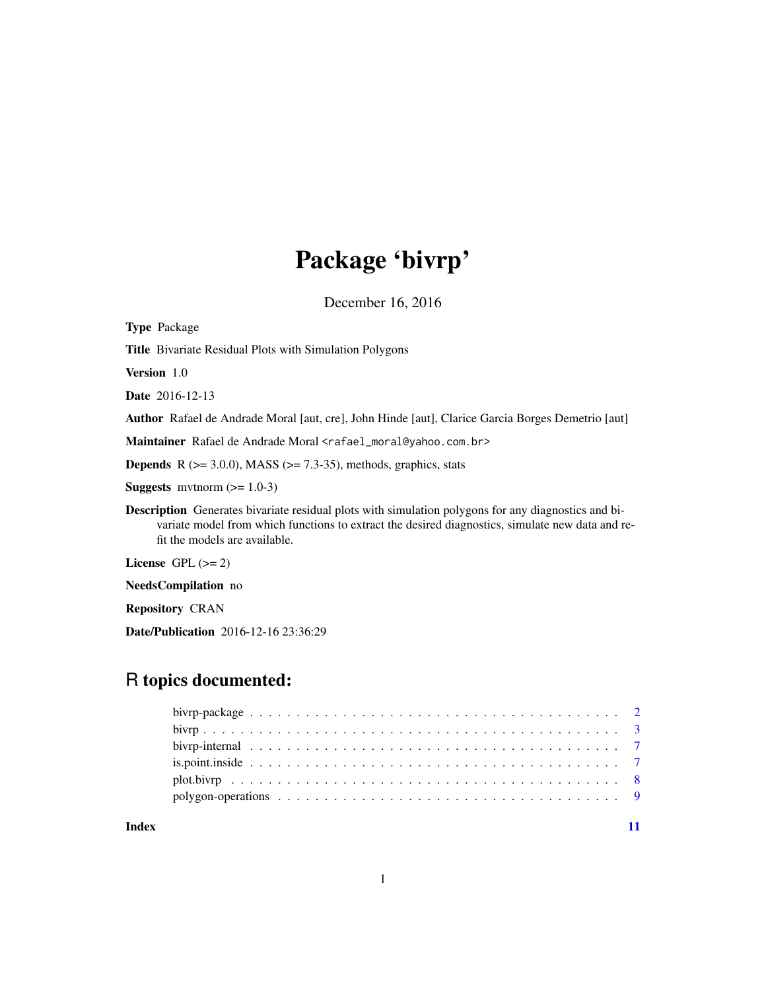# Package 'bivrp'

December 16, 2016

<span id="page-0-0"></span>

| <b>Type Package</b>                                                                                                                                                                                                                             |
|-------------------------------------------------------------------------------------------------------------------------------------------------------------------------------------------------------------------------------------------------|
| <b>Title</b> Bivariate Residual Plots with Simulation Polygons                                                                                                                                                                                  |
| <b>Version</b> 1.0                                                                                                                                                                                                                              |
| <b>Date</b> 2016-12-13                                                                                                                                                                                                                          |
| Author Rafael de Andrade Moral [aut, cre], John Hinde [aut], Clarice Garcia Borges Demetrio [aut]                                                                                                                                               |
| Maintainer Rafael de Andrade Moral <rafael_moral@yahoo.com.br></rafael_moral@yahoo.com.br>                                                                                                                                                      |
| <b>Depends</b> R $(>= 3.0.0)$ , MASS $(>= 7.3-35)$ , methods, graphics, stats                                                                                                                                                                   |
| <b>Suggests</b> mythorm $(>= 1.0-3)$                                                                                                                                                                                                            |
| <b>Description</b> Generates bivariate residual plots with simulation polygons for any diagnostics and bi-<br>variate model from which functions to extract the desired diagnostics, simulate new data and re-<br>fit the models are available. |
| License $GPL (= 2)$                                                                                                                                                                                                                             |
| <b>NeedsCompilation</b> no                                                                                                                                                                                                                      |
| <b>Repository CRAN</b>                                                                                                                                                                                                                          |
| <b>Date/Publication</b> 2016-12-16 23:36:29                                                                                                                                                                                                     |
|                                                                                                                                                                                                                                                 |

# R topics documented:

**Index** [11](#page-10-0)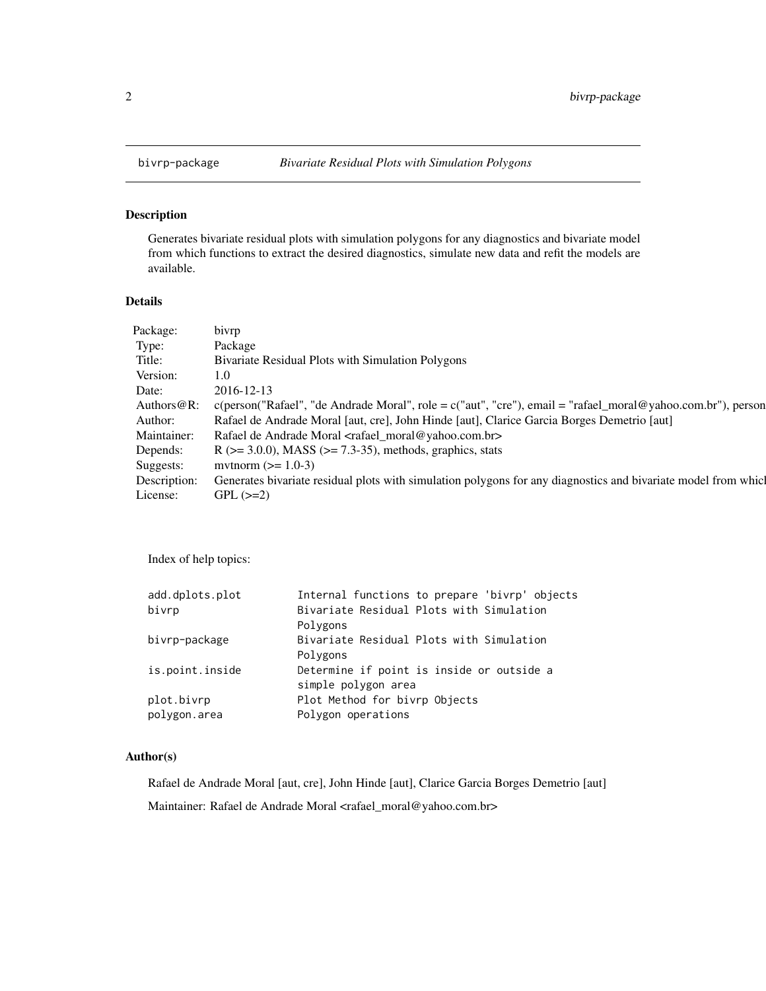<span id="page-1-0"></span>

# Description

Generates bivariate residual plots with simulation polygons for any diagnostics and bivariate model from which functions to extract the desired diagnostics, simulate new data and refit the models are available.

#### Details

| Package:       | bivrp                                                                                                                 |
|----------------|-----------------------------------------------------------------------------------------------------------------------|
| Type:          | Package                                                                                                               |
| Title:         | Bivariate Residual Plots with Simulation Polygons                                                                     |
| Version:       | 1.0 <sub>l</sub>                                                                                                      |
| Date:          | 2016-12-13                                                                                                            |
| Authors $@R$ : | $c(\text{person("Rafael", "de Andrade Moral", role = } c("aut", "cre"), email = "rafael_moral@yahoo.com.br"), person$ |
| Author:        | Rafael de Andrade Moral [aut, cre], John Hinde [aut], Clarice Garcia Borges Demetrio [aut]                            |
| Maintainer:    | Rafael de Andrade Moral <rafael_moral@yahoo.com.br></rafael_moral@yahoo.com.br>                                       |
| Depends:       | $R$ ( $> = 3.0.0$ ), MASS ( $> = 7.3-35$ ), methods, graphics, stats                                                  |
| Suggests:      | mythorm $(>= 1.0-3)$                                                                                                  |
| Description:   | Generates bivariate residual plots with simulation polygons for any diagnostics and bivariate model from which        |
| License:       | $GPL (=2)$                                                                                                            |

Index of help topics:

| add.dplots.plot | Internal functions to prepare 'bivrp' objects |
|-----------------|-----------------------------------------------|
| bivrp           | Bivariate Residual Plots with Simulation      |
|                 | Polygons                                      |
| bivrp-package   | Bivariate Residual Plots with Simulation      |
|                 | Polygons                                      |
| is.point.inside | Determine if point is inside or outside a     |
|                 | simple polygon area                           |
| plot.bivrp      | Plot Method for bivrp Objects                 |
| polygon.area    | Polygon operations                            |
|                 |                                               |

# Author(s)

Rafael de Andrade Moral [aut, cre], John Hinde [aut], Clarice Garcia Borges Demetrio [aut] Maintainer: Rafael de Andrade Moral <rafael\_moral@yahoo.com.br>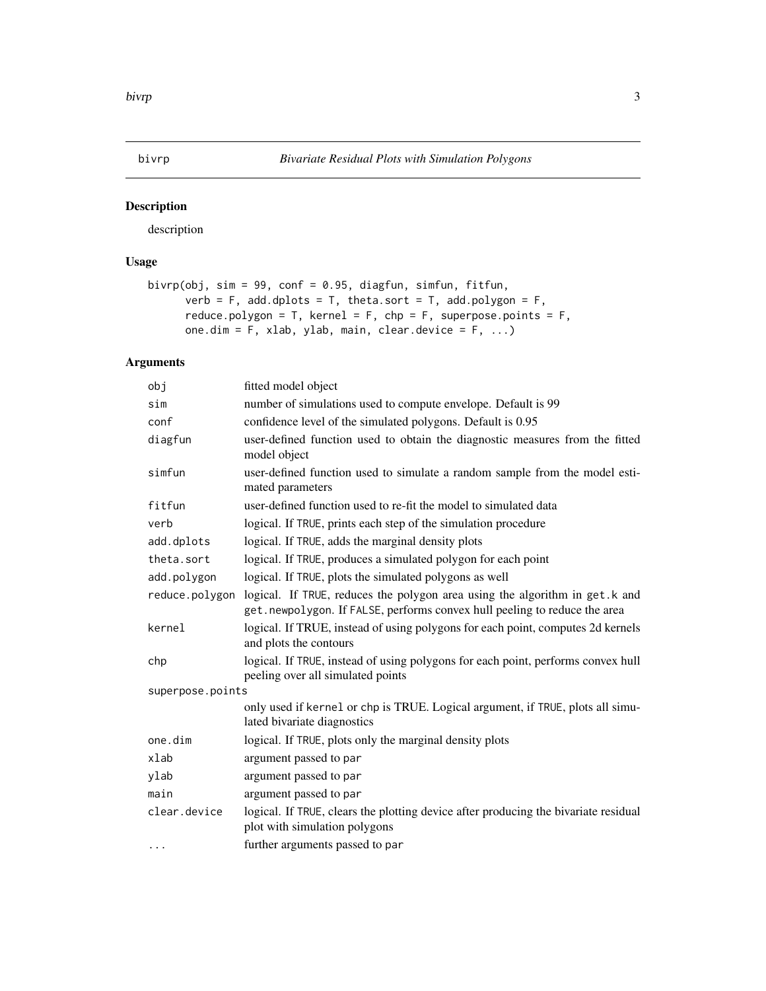<span id="page-2-0"></span>

# Description

description

# Usage

```
bivrp(obj, sim = 99, conf = 0.95, diagfun, simfun, fitfun,
     verb = F, add.dplots = T, theta.sort = T, add.polygon = F,
     reduce.polygon = T, kernel = F, chp = F, superpose.points = F,
     one.dim = F, xlab, ylab, main, clear.device = F, ...)
```
# Arguments

| obj              | fitted model object                                                                                                                                      |
|------------------|----------------------------------------------------------------------------------------------------------------------------------------------------------|
| sim              | number of simulations used to compute envelope. Default is 99                                                                                            |
| conf             | confidence level of the simulated polygons. Default is 0.95                                                                                              |
| diagfun          | user-defined function used to obtain the diagnostic measures from the fitted<br>model object                                                             |
| simfun           | user-defined function used to simulate a random sample from the model esti-<br>mated parameters                                                          |
| fitfun           | user-defined function used to re-fit the model to simulated data                                                                                         |
| verb             | logical. If TRUE, prints each step of the simulation procedure                                                                                           |
| add.dplots       | logical. If TRUE, adds the marginal density plots                                                                                                        |
| theta.sort       | logical. If TRUE, produces a simulated polygon for each point                                                                                            |
| add.polygon      | logical. If TRUE, plots the simulated polygons as well                                                                                                   |
| reduce.polygon   | logical. If TRUE, reduces the polygon area using the algorithm in get.k and<br>get.newpolygon. If FALSE, performs convex hull peeling to reduce the area |
| kernel           | logical. If TRUE, instead of using polygons for each point, computes 2d kernels<br>and plots the contours                                                |
| chp              | logical. If TRUE, instead of using polygons for each point, performs convex hull<br>peeling over all simulated points                                    |
| superpose.points |                                                                                                                                                          |
|                  | only used if kernel or chp is TRUE. Logical argument, if TRUE, plots all simu-<br>lated bivariate diagnostics                                            |
| one.dim          | logical. If TRUE, plots only the marginal density plots                                                                                                  |
| xlab             | argument passed to par                                                                                                                                   |
| ylab             | argument passed to par                                                                                                                                   |
| main             | argument passed to par                                                                                                                                   |
| clear.device     | logical. If TRUE, clears the plotting device after producing the bivariate residual<br>plot with simulation polygons                                     |
| $\cdots$         | further arguments passed to par                                                                                                                          |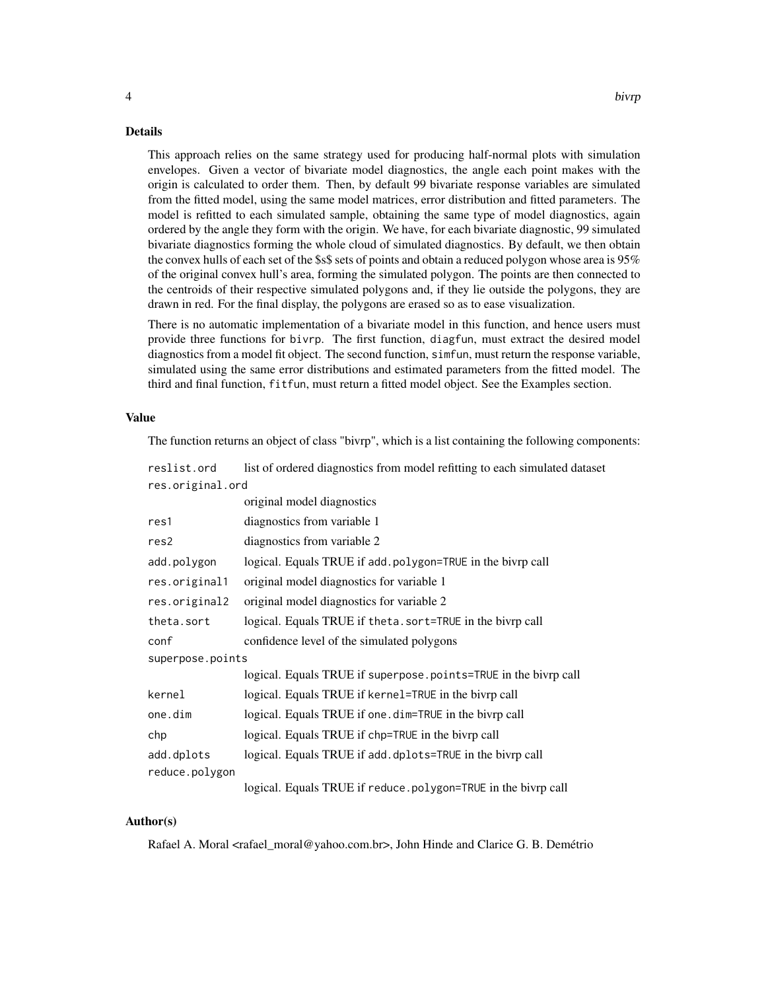#### Details

This approach relies on the same strategy used for producing half-normal plots with simulation envelopes. Given a vector of bivariate model diagnostics, the angle each point makes with the origin is calculated to order them. Then, by default 99 bivariate response variables are simulated from the fitted model, using the same model matrices, error distribution and fitted parameters. The model is refitted to each simulated sample, obtaining the same type of model diagnostics, again ordered by the angle they form with the origin. We have, for each bivariate diagnostic, 99 simulated bivariate diagnostics forming the whole cloud of simulated diagnostics. By default, we then obtain the convex hulls of each set of the \$s\$ sets of points and obtain a reduced polygon whose area is 95% of the original convex hull's area, forming the simulated polygon. The points are then connected to the centroids of their respective simulated polygons and, if they lie outside the polygons, they are drawn in red. For the final display, the polygons are erased so as to ease visualization.

There is no automatic implementation of a bivariate model in this function, and hence users must provide three functions for bivrp. The first function, diagfun, must extract the desired model diagnostics from a model fit object. The second function, simfun, must return the response variable, simulated using the same error distributions and estimated parameters from the fitted model. The third and final function, fitfun, must return a fitted model object. See the Examples section.

#### Value

The function returns an object of class "bivrp", which is a list containing the following components:

| reslist.ord      | list of ordered diagnostics from model refitting to each simulated dataset |
|------------------|----------------------------------------------------------------------------|
| res.original.ord |                                                                            |
|                  | original model diagnostics                                                 |
| res1             | diagnostics from variable 1                                                |
| res2             | diagnostics from variable 2                                                |
| add.polygon      | logical. Equals TRUE if add.polygon=TRUE in the bivrp call                 |
| res.original1    | original model diagnostics for variable 1                                  |
| res.original2    | original model diagnostics for variable 2                                  |
| theta.sort       | logical. Equals TRUE if theta. sort=TRUE in the bivrp call                 |
| conf             | confidence level of the simulated polygons                                 |
| superpose.points |                                                                            |
|                  | logical. Equals TRUE if superpose.points=TRUE in the bivrp call            |
| kernel           | logical. Equals TRUE if kernel=TRUE in the bivrp call                      |
| one.dim          | logical. Equals TRUE if one . dim=TRUE in the bivrp call                   |
| chp              | logical. Equals TRUE if chp=TRUE in the bivrp call                         |
| add.dplots       | logical. Equals TRUE if add.dplots=TRUE in the bivrp call                  |
| reduce.polygon   |                                                                            |
|                  | logical. Equals TRUE if reduce.polygon=TRUE in the bivrp call              |

#### Author(s)

Rafael A. Moral <rafael\_moral@yahoo.com.br>, John Hinde and Clarice G. B. Demétrio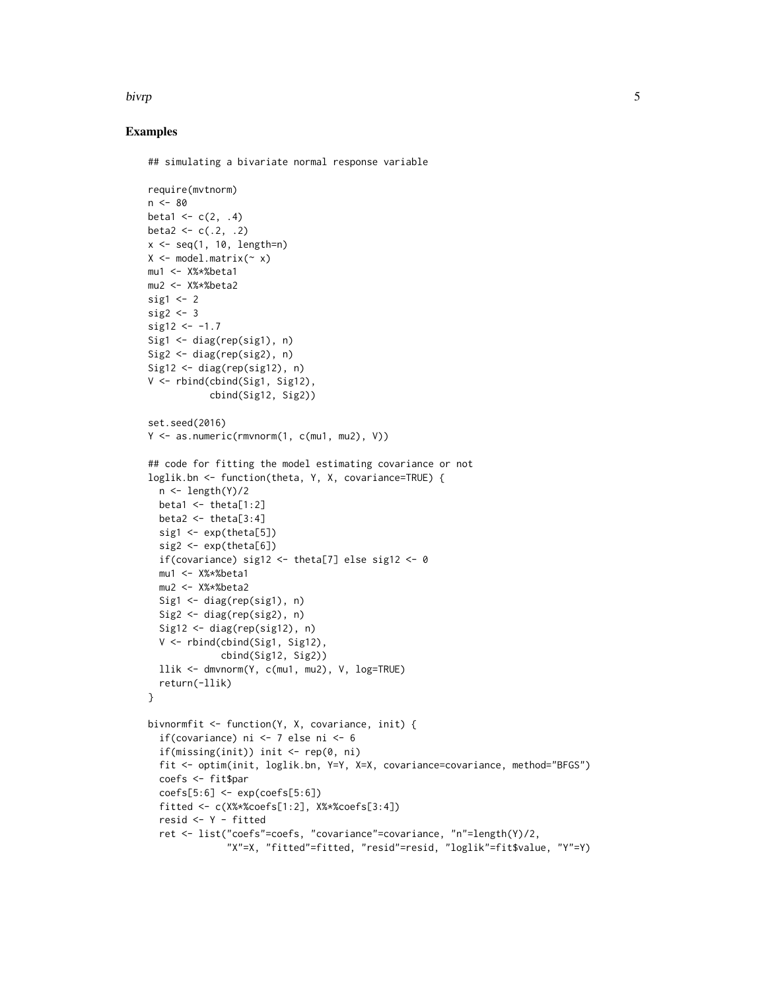#### bivrp 5.5 million of the state of the state of the state of the state of the state of the state of the state o

#### Examples

```
## simulating a bivariate normal response variable
```

```
require(mvtnorm)
n < - 80beta1 <- c(2, .4)beta2 <- c(.2, .2)x \leq -\text{seq}(1, 10, \text{length=n})X \leq model.matrix(\sim x)
mu1 <- X%*%beta1
mu2 <- X%*%beta2
sig1 \leftarrow 2
sig2 \leq -3sig12 < -1.7Sig1 \leftarrow diag(rep(sig1), n)
Sig2 <- diag(rep(sig2), n)
Sig12 \leftarrow diag(rep(sig12), n)
V <- rbind(cbind(Sig1, Sig12),
            cbind(Sig12, Sig2))
set.seed(2016)
Y <- as.numeric(rmvnorm(1, c(mu1, mu2), V))
## code for fitting the model estimating covariance or not
loglik.bn <- function(theta, Y, X, covariance=TRUE) {
  n \leftarrow length(Y)/2
  beta1 \le theta[1:2]
  beta2 \le theta[3:4]
  sig1 \leftarrow exp(theta[5])sig2 <- exp(theta[6])
  if(covariance) sig12 <- theta[7] else sig12 <- 0
  mu1 <- X%*%beta1
  mu2 <- X%*%beta2
  Sig1 \leftarrow diag(rep(sig1), n)
  Sig2 <- diag(rep(sig2), n)
  Sig12 \leftarrow diag(rep(sig12), n)
  V <- rbind(cbind(Sig1, Sig12),
              cbind(Sig12, Sig2))
  llik <- dmvnorm(Y, c(mu1, mu2), V, log=TRUE)
  return(-llik)
}
bivnormfit <- function(Y, X, covariance, init) {
  if(covariance) ni <- 7 else ni <- 6
  if(missing(init)) init <- rep(0, ni)
  fit <- optim(init, loglik.bn, Y=Y, X=X, covariance=covariance, method="BFGS")
  coefs <- fit$par
  coeffs[5:6] \leftarrow exp(coeffs[5:6])fitted <- c(X%*%coefs[1:2], X%*%coefs[3:4])
  resid <- Y - fitted
  ret <- list("coefs"=coefs, "covariance"=covariance, "n"=length(Y)/2,
               "X"=X, "fitted"=fitted, "resid"=resid, "loglik"=fit$value, "Y"=Y)
```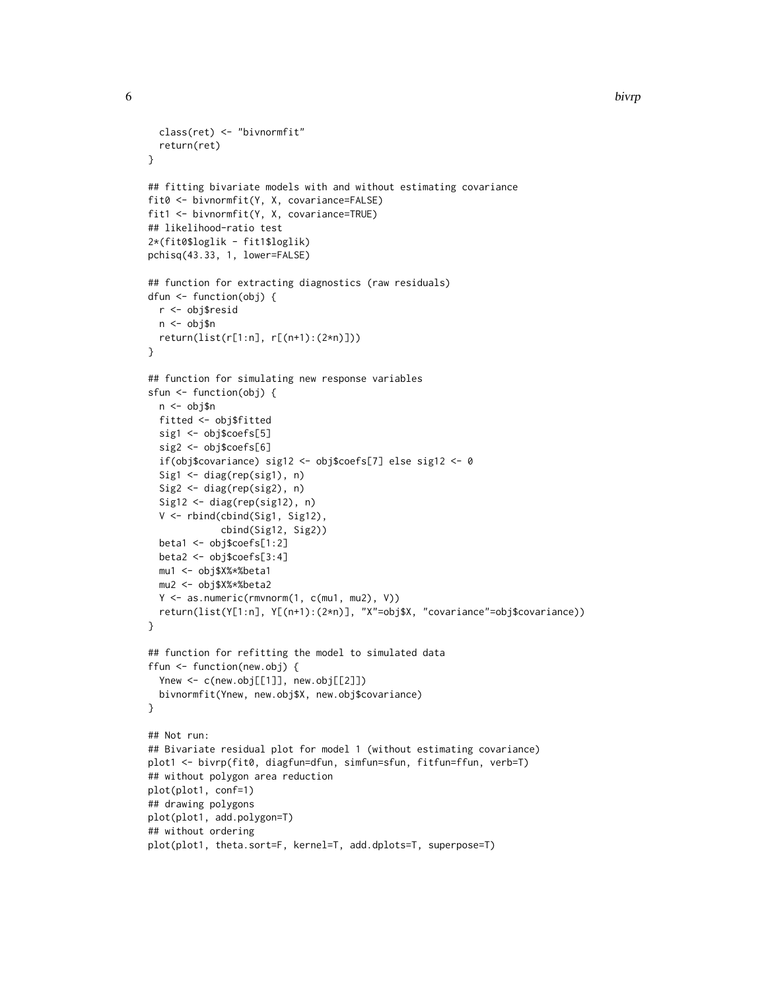```
6 bivrp
```

```
class(ret) <- "bivnormfit"
  return(ret)
}
## fitting bivariate models with and without estimating covariance
fit0 <- bivnormfit(Y, X, covariance=FALSE)
fit1 <- bivnormfit(Y, X, covariance=TRUE)
## likelihood-ratio test
2*(fit0$loglik - fit1$loglik)
pchisq(43.33, 1, lower=FALSE)
## function for extracting diagnostics (raw residuals)
dfun <- function(obj) {
  r <- obj$resid
  n <- obj$n
 return(list(r[1:n], r[(n+1):(2*n)]))
}
## function for simulating new response variables
sfun <- function(obj) {
  n <- obj$n
  fitted <- obj$fitted
  sig1 <- obj$coefs[5]
  sig2 <- obj$coefs[6]
  if(obj$covariance) sig12 <- obj$coefs[7] else sig12 <- 0
  Sig1 <- diag(rep(sig1), n)
  Sig2 <- diag(rep(sig2), n)
  Sig12 <- diag(rep(sig12), n)
  V <- rbind(cbind(Sig1, Sig12),
             cbind(Sig12, Sig2))
  beta1 <- obj$coefs[1:2]
  beta2 <- obj$coefs[3:4]
  mu1 <- obj$X%*%beta1
  mu2 <- obj$X%*%beta2
  Y \le - as.numeric(rmvnorm(1, c(mu1, mu2), V))
  return(list(Y[1:n], Y[(n+1):(2*n)], "X"=obj$X, "covariance"=obj$covariance))
}
## function for refitting the model to simulated data
ffun <- function(new.obj) {
  Ynew <- c(new.obj[[1]], new.obj[[2]])
  bivnormfit(Ynew, new.obj$X, new.obj$covariance)
}
## Not run:
## Bivariate residual plot for model 1 (without estimating covariance)
plot1 <- bivrp(fit0, diagfun=dfun, simfun=sfun, fitfun=ffun, verb=T)
## without polygon area reduction
plot(plot1, conf=1)
## drawing polygons
plot(plot1, add.polygon=T)
## without ordering
plot(plot1, theta.sort=F, kernel=T, add.dplots=T, superpose=T)
```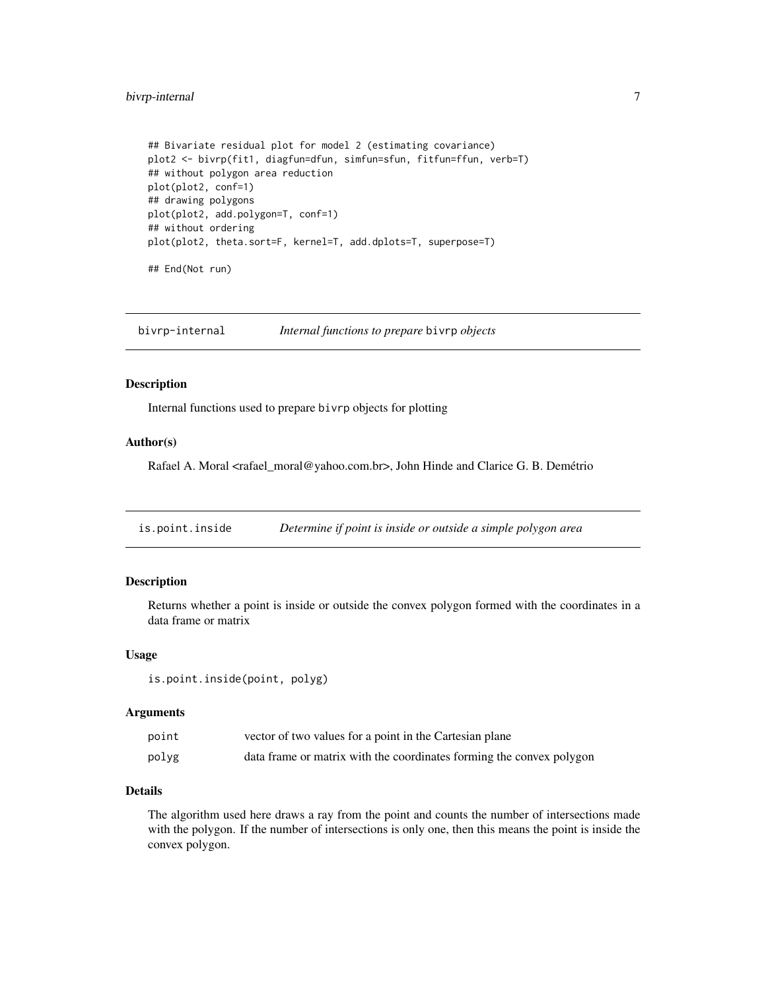# <span id="page-6-0"></span>bivrp-internal 7

```
## Bivariate residual plot for model 2 (estimating covariance)
plot2 <- bivrp(fit1, diagfun=dfun, simfun=sfun, fitfun=ffun, verb=T)
## without polygon area reduction
plot(plot2, conf=1)
## drawing polygons
plot(plot2, add.polygon=T, conf=1)
## without ordering
plot(plot2, theta.sort=F, kernel=T, add.dplots=T, superpose=T)
## End(Not run)
```
bivrp-internal *Internal functions to prepare* bivrp *objects*

### Description

Internal functions used to prepare bivrp objects for plotting

#### Author(s)

Rafael A. Moral <rafael\_moral@yahoo.com.br>, John Hinde and Clarice G. B. Demétrio

<span id="page-6-1"></span>is.point.inside *Determine if point is inside or outside a simple polygon area*

#### Description

Returns whether a point is inside or outside the convex polygon formed with the coordinates in a data frame or matrix

#### Usage

```
is.point.inside(point, polyg)
```
#### Arguments

| point | vector of two values for a point in the Cartesian plane              |
|-------|----------------------------------------------------------------------|
| polyg | data frame or matrix with the coordinates forming the convex polygon |

### Details

The algorithm used here draws a ray from the point and counts the number of intersections made with the polygon. If the number of intersections is only one, then this means the point is inside the convex polygon.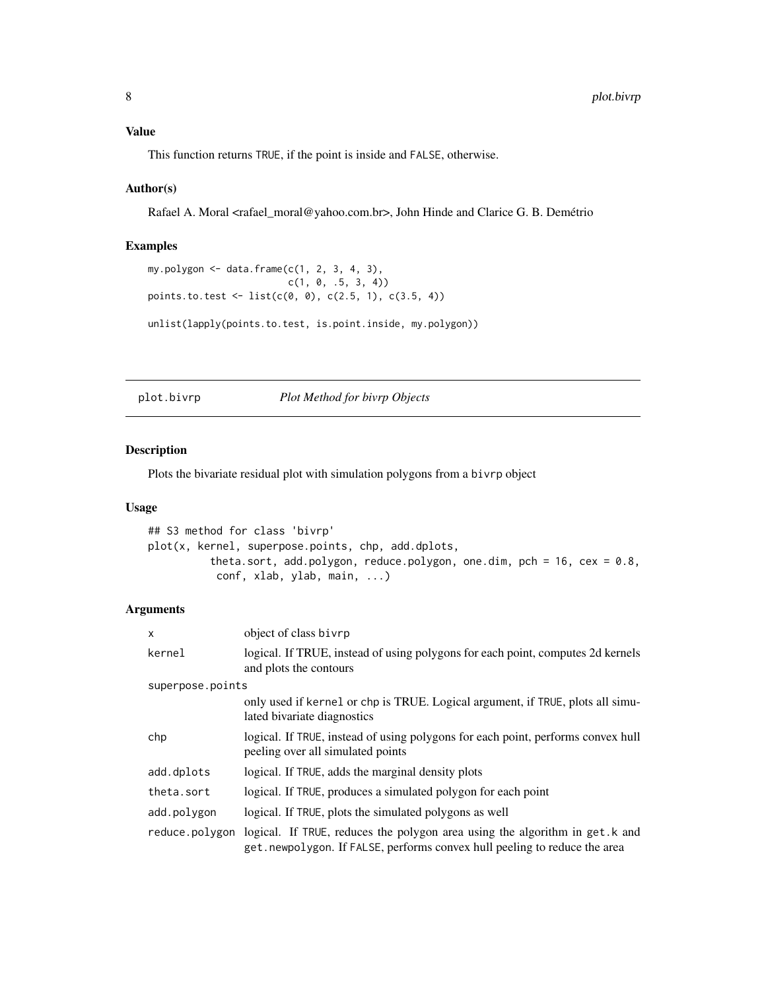# <span id="page-7-0"></span>Value

This function returns TRUE, if the point is inside and FALSE, otherwise.

#### Author(s)

Rafael A. Moral <rafael\_moral@yahoo.com.br>, John Hinde and Clarice G. B. Demétrio

#### Examples

```
my.polygon \leq data.frame(c(1, 2, 3, 4, 3),
                           c(1, 0, .5, 3, 4)points.to.test <- list(c(\emptyset, \emptyset), c(2.5, 1), c(3.5, 4))
unlist(lapply(points.to.test, is.point.inside, my.polygon))
```
plot.bivrp *Plot Method for bivrp Objects*

#### Description

Plots the bivariate residual plot with simulation polygons from a bivrp object

#### Usage

```
## S3 method for class 'bivrp'
plot(x, kernel, superpose.points, chp, add.dplots,
          theta.sort, add.polygon, reduce.polygon, one.dim, pch = 16, cex = 0.8,
           conf, xlab, ylab, main, ...)
```
# Arguments

| $\mathsf{x}$     | object of class bivrp                                                                                                                                     |
|------------------|-----------------------------------------------------------------------------------------------------------------------------------------------------------|
| kernel           | logical. If TRUE, instead of using polygons for each point, computes 2d kernels<br>and plots the contours                                                 |
| superpose.points |                                                                                                                                                           |
|                  | only used if kernel or chp is TRUE. Logical argument, if TRUE, plots all simu-<br>lated bivariate diagnostics                                             |
| chp              | logical. If TRUE, instead of using polygons for each point, performs convex hull<br>peeling over all simulated points                                     |
| add.dplots       | logical. If TRUE, adds the marginal density plots                                                                                                         |
| theta.sort       | logical. If TRUE, produces a simulated polygon for each point                                                                                             |
| add.polygon      | logical. If TRUE, plots the simulated polygons as well                                                                                                    |
| reduce.polygon   | logical. If TRUE, reduces the polygon area using the algorithm in get. k and<br>get.newpolygon. If FALSE, performs convex hull peeling to reduce the area |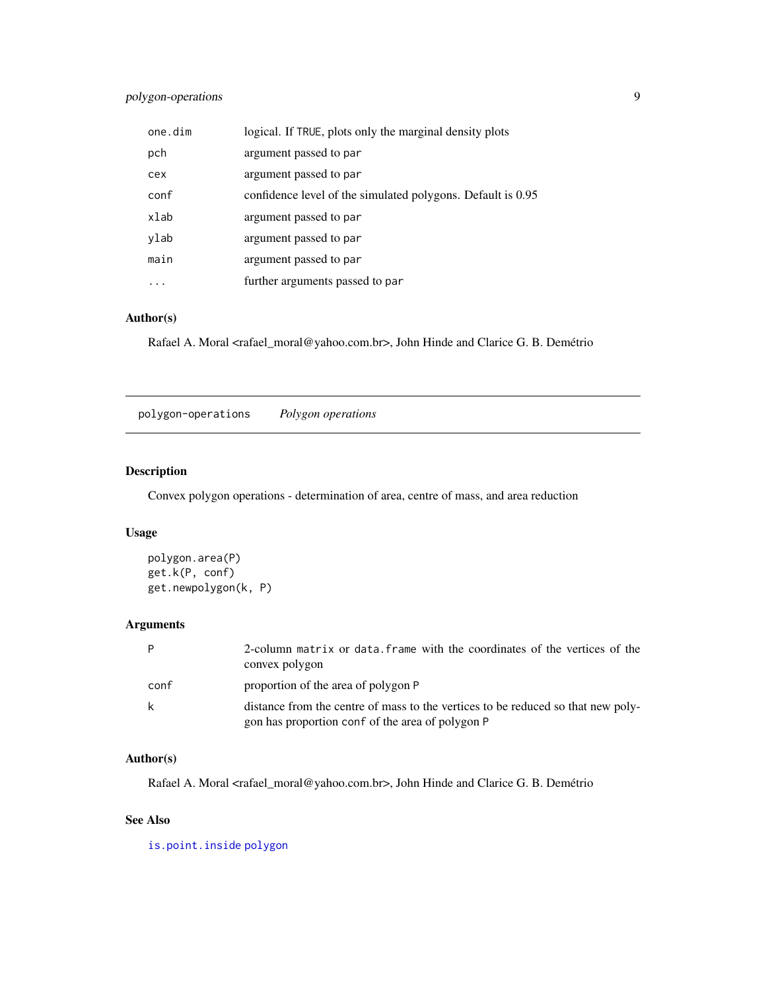# <span id="page-8-0"></span>polygon-operations 9

| one.dim | logical. If TRUE, plots only the marginal density plots     |
|---------|-------------------------------------------------------------|
| pch     | argument passed to par                                      |
| cex     | argument passed to par                                      |
| conf    | confidence level of the simulated polygons. Default is 0.95 |
| xlab    | argument passed to par                                      |
| ylab    | argument passed to par                                      |
| main    | argument passed to par                                      |
|         | further arguments passed to par                             |

#### Author(s)

Rafael A. Moral <rafael\_moral@yahoo.com.br>, John Hinde and Clarice G. B. Demétrio

polygon-operations *Polygon operations*

# Description

Convex polygon operations - determination of area, centre of mass, and area reduction

# Usage

```
polygon.area(P)
get.k(P, conf)
get.newpolygon(k, P)
```
# Arguments

| P    | 2-column matrix or data. Frame with the coordinates of the vertices of the<br>convex polygon                                         |
|------|--------------------------------------------------------------------------------------------------------------------------------------|
| conf | proportion of the area of polygon P                                                                                                  |
| -k   | distance from the centre of mass to the vertices to be reduced so that new poly-<br>gon has proportion conf of the area of polygon P |

### Author(s)

Rafael A. Moral <rafael\_moral@yahoo.com.br>, John Hinde and Clarice G. B. Demétrio

### See Also

[is.point.inside](#page-6-1) [polygon](#page-0-0)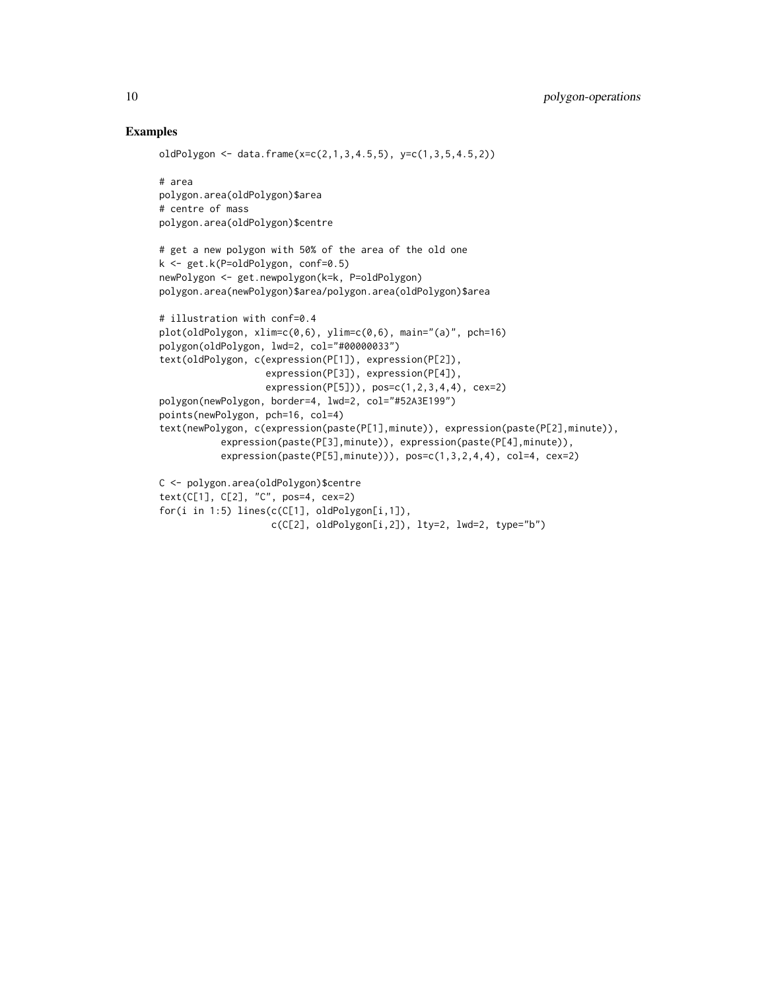# Examples

```
oldPolygon <- data.frame(x=c(2,1,3,4.5,5), y=c(1,3,5,4.5,2))
# area
polygon.area(oldPolygon)$area
# centre of mass
polygon.area(oldPolygon)$centre
# get a new polygon with 50% of the area of the old one
k <- get.k(P=oldPolygon, conf=0.5)
newPolygon <- get.newpolygon(k=k, P=oldPolygon)
polygon.area(newPolygon)$area/polygon.area(oldPolygon)$area
# illustration with conf=0.4
plot(oldPolygon, xlim=c(0,6), ylim=c(0,6), main="(a)", pch=16)
polygon(oldPolygon, lwd=2, col="#00000033")
text(oldPolygon, c(expression(P[1]), expression(P[2]),
                  expression(P[3]), expression(P[4]),
                  expression(P[5])), pos=c(1,2,3,4,4), cex=2)polygon(newPolygon, border=4, lwd=2, col="#52A3E199")
points(newPolygon, pch=16, col=4)
text(newPolygon, c(expression(paste(P[1],minute)), expression(paste(P[2],minute)),
           expression(paste(P[3],minute)), expression(paste(P[4],minute)),
           expression(paste(P[5], minute)), pos=c(1,3,2,4,4), col=4, cex=2)C <- polygon.area(oldPolygon)$centre
text(C[1], C[2], "C", pos=4, cex=2)
for(i in 1:5) lines(c(C[1], oldPolygon[i,1]),
                   c(C[2], oldPolygon[i,2]), lty=2, lwd=2, type="b")
```